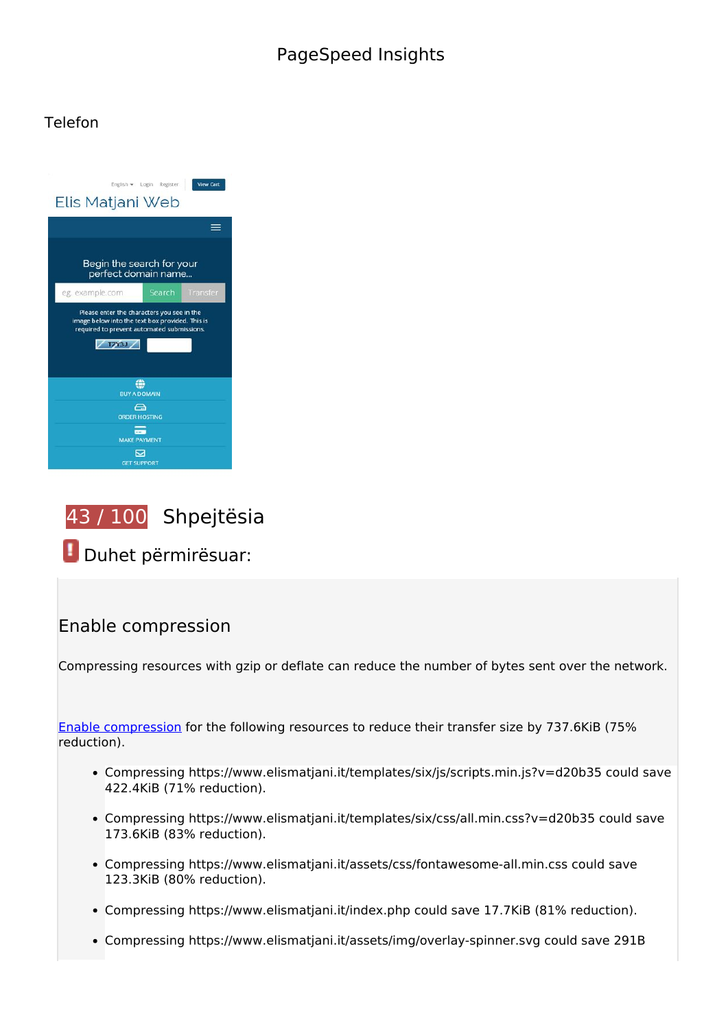## **PageSpeed Insights**

#### **Telefon**

| <b>View Cart</b><br>English · Login Register<br>Elis Matjani Web                                                                                            |        |          |
|-------------------------------------------------------------------------------------------------------------------------------------------------------------|--------|----------|
|                                                                                                                                                             |        |          |
| Begin the search for your<br>perfect domain name                                                                                                            |        |          |
| eg. example.com                                                                                                                                             | Search | Transfer |
| Please enter the characters you see in the<br>image below into the text box provided. This is<br>required to prevent automated submissions.<br><b>TZY3J</b> |        |          |
| œ<br><b>BUY A DOMAIN</b>                                                                                                                                    |        |          |
| $\bigcap$<br><b>ORDER HOSTING</b>                                                                                                                           |        |          |
| <b>MAKE PAYMENT</b>                                                                                                                                         |        |          |
| 罓<br><b>GET SUPPORT</b>                                                                                                                                     |        |          |



 **Duhet përmirësuar:** 

#### **Enable compression**

Compressing resources with gzip or deflate can reduce the number of bytes sent over the network.

[Enable compression](http://test.al/redirect.php?url=https%3A%2F%2Fdevelopers.google.com%2Fspeed%2Fdocs%2Finsights%2FEnableCompression) for the following resources to reduce their transfer size by 737.6KiB (75% reduction).

- Compressing https://www.elismatjani.it/templates/six/js/scripts.min.js?v=d20b35 could save 422.4KiB (71% reduction).
- Compressing https://www.elismatjani.it/templates/six/css/all.min.css?v=d20b35 could save 173.6KiB (83% reduction).
- Compressing https://www.elismatjani.it/assets/css/fontawesome-all.min.css could save 123.3KiB (80% reduction).
- Compressing https://www.elismatjani.it/index.php could save 17.7KiB (81% reduction).
- Compressing https://www.elismatjani.it/assets/img/overlay-spinner.svg could save 291B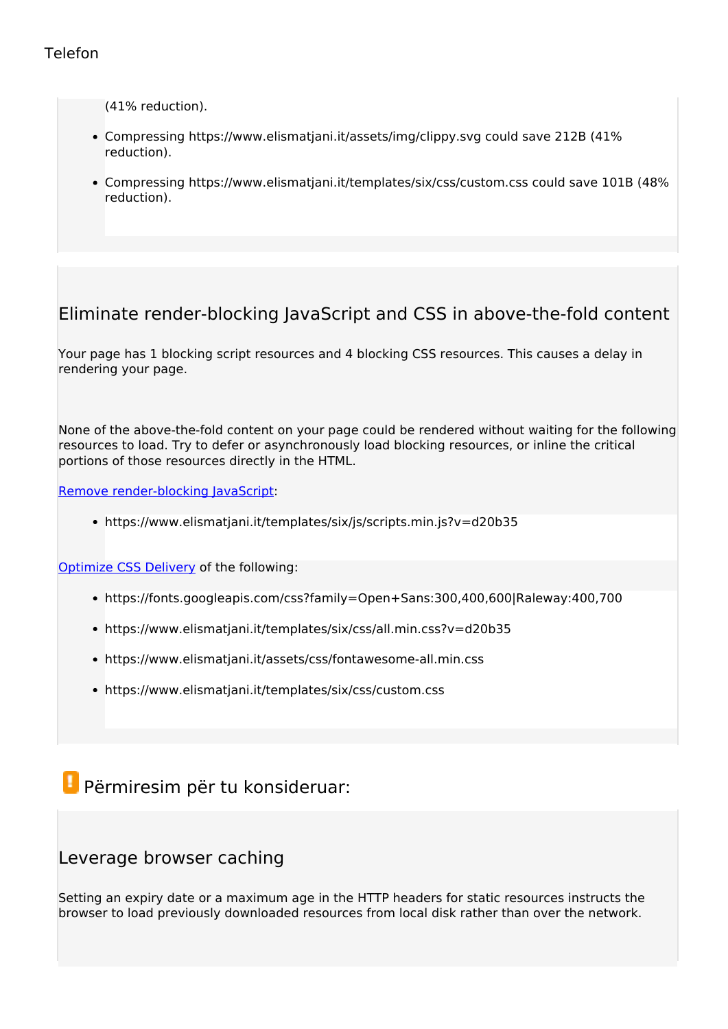#### **Telefon**

(41% reduction).

- Compressing https://www.elismatjani.it/assets/img/clippy.svg could save 212B (41% reduction).
- Compressing https://www.elismatjani.it/templates/six/css/custom.css could save 101B (48% reduction).

## **Eliminate render-blocking JavaScript and CSS in above-the-fold content**

Your page has 1 blocking script resources and 4 blocking CSS resources. This causes a delay in rendering your page.

None of the above-the-fold content on your page could be rendered without waiting for the following resources to load. Try to defer or asynchronously load blocking resources, or inline the critical portions of those resources directly in the HTML.

[Remove render-blocking JavaScript](http://test.al/redirect.php?url=https%3A%2F%2Fdevelopers.google.com%2Fspeed%2Fdocs%2Finsights%2FBlockingJS):

https://www.elismatjani.it/templates/six/js/scripts.min.js?v=d20b35

[Optimize CSS Delivery](http://test.al/redirect.php?url=https%3A%2F%2Fdevelopers.google.com%2Fspeed%2Fdocs%2Finsights%2FOptimizeCSSDelivery) of the following:

- https://fonts.googleapis.com/css?family=Open+Sans:300,400,600|Raleway:400,700
- https://www.elismatjani.it/templates/six/css/all.min.css?v=d20b35
- https://www.elismatjani.it/assets/css/fontawesome-all.min.css
- https://www.elismatjani.it/templates/six/css/custom.css

# **Përmiresim për tu konsideruar:**

#### **Leverage browser caching**

Setting an expiry date or a maximum age in the HTTP headers for static resources instructs the browser to load previously downloaded resources from local disk rather than over the network.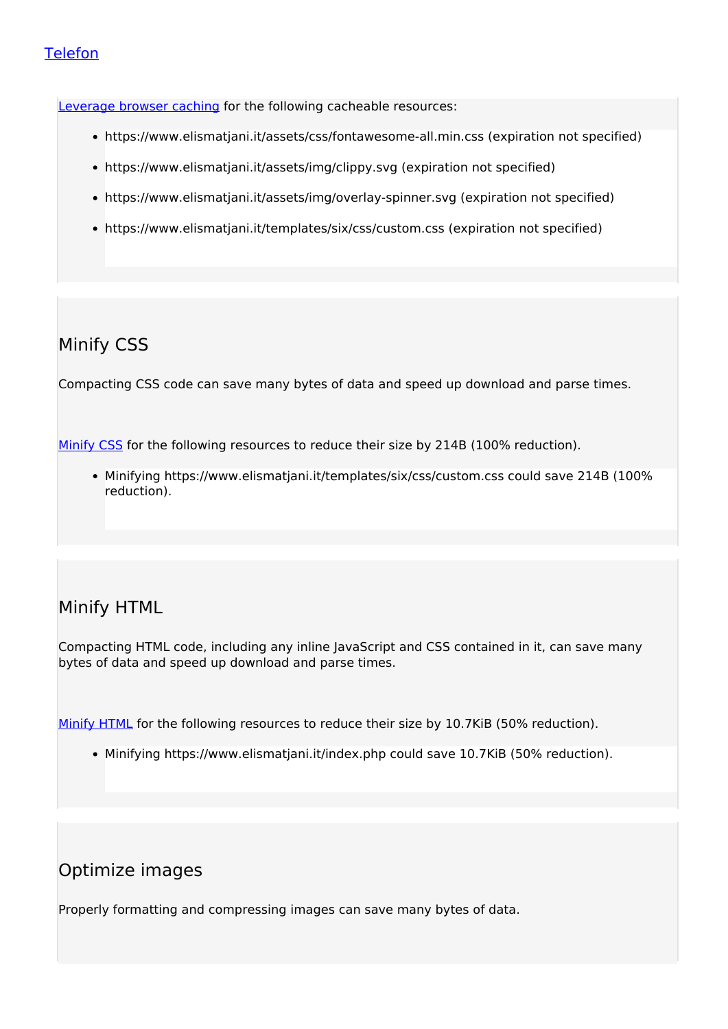#### **Telefon**

[Leverage browser caching](http://test.al/redirect.php?url=https%3A%2F%2Fdevelopers.google.com%2Fspeed%2Fdocs%2Finsights%2FLeverageBrowserCaching) for the following cacheable resources:

- https://www.elismatjani.it/assets/css/fontawesome-all.min.css (expiration not specified)
- https://www.elismatjani.it/assets/img/clippy.svg (expiration not specified)
- https://www.elismatjani.it/assets/img/overlay-spinner.svg (expiration not specified)
- https://www.elismatjani.it/templates/six/css/custom.css (expiration not specified)

## **Minify CSS**

Compacting CSS code can save many bytes of data and speed up download and parse times.

[Minify CSS](http://test.al/redirect.php?url=https%3A%2F%2Fdevelopers.google.com%2Fspeed%2Fdocs%2Finsights%2FMinifyResources) for the following resources to reduce their size by 214B (100% reduction).

Minifying https://www.elismatjani.it/templates/six/css/custom.css could save 214B (100% reduction).

## **Minify HTML**

Compacting HTML code, including any inline JavaScript and CSS contained in it, can save many bytes of data and speed up download and parse times.

[Minify HTML](http://test.al/redirect.php?url=https%3A%2F%2Fdevelopers.google.com%2Fspeed%2Fdocs%2Finsights%2FMinifyResources) for the following resources to reduce their size by 10.7KiB (50% reduction).

Minifying https://www.elismatjani.it/index.php could save 10.7KiB (50% reduction).

## **Optimize images**

Properly formatting and compressing images can save many bytes of data.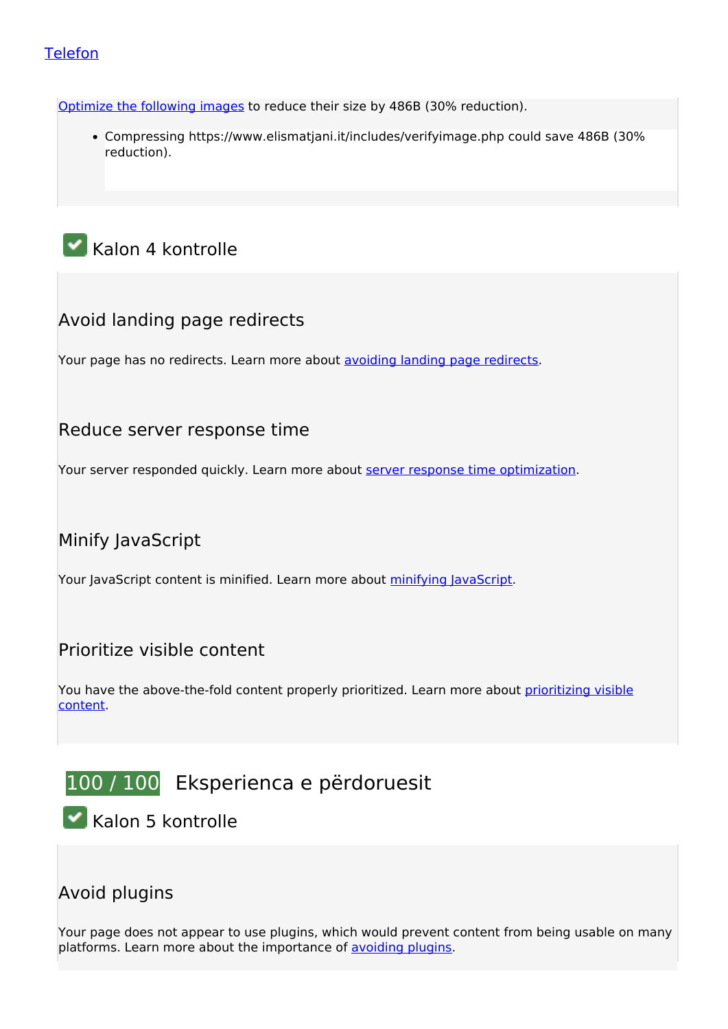#### **Telefon**

[Optimize the following images](http://test.al/redirect.php?url=https%3A%2F%2Fdevelopers.google.com%2Fspeed%2Fdocs%2Finsights%2FOptimizeImages) to reduce their size by 486B (30% reduction).

Compressing https://www.elismatjani.it/includes/verifyimage.php could save 486B (30% reduction).

# **Kalon 4 kontrolle**

## **Avoid landing page redirects**

Your page has no redirects. Learn more about [avoiding landing page redirects](http://test.al/redirect.php?url=https%3A%2F%2Fdevelopers.google.com%2Fspeed%2Fdocs%2Finsights%2FAvoidRedirects).

#### **Reduce server response time**

Your server responded quickly. Learn more about [server response time optimization](http://test.al/redirect.php?url=https%3A%2F%2Fdevelopers.google.com%2Fspeed%2Fdocs%2Finsights%2FServer).

# **Minify JavaScript**

Your JavaScript content is minified. Learn more about [minifying JavaScript](http://test.al/redirect.php?url=https%3A%2F%2Fdevelopers.google.com%2Fspeed%2Fdocs%2Finsights%2FMinifyResources).

#### **Prioritize visible content**

You have the above-the-fold content properly prioritized. Learn more about [prioritizing visible](http://test.al/redirect.php?url=https%3A%2F%2Fdevelopers.google.com%2Fspeed%2Fdocs%2Finsights%2FPrioritizeVisibleContent) [content](http://test.al/redirect.php?url=https%3A%2F%2Fdevelopers.google.com%2Fspeed%2Fdocs%2Finsights%2FPrioritizeVisibleContent).

# **100 / 100** Eksperienca e përdoruesit

 **Kalon 5 kontrolle** 

## **Avoid plugins**

Your page does not appear to use plugins, which would prevent content from being usable on many platforms. Learn more about the importance of [avoiding plugins.](http://test.al/redirect.php?url=https%3A%2F%2Fdevelopers.google.com%2Fspeed%2Fdocs%2Finsights%2FAvoidPlugins)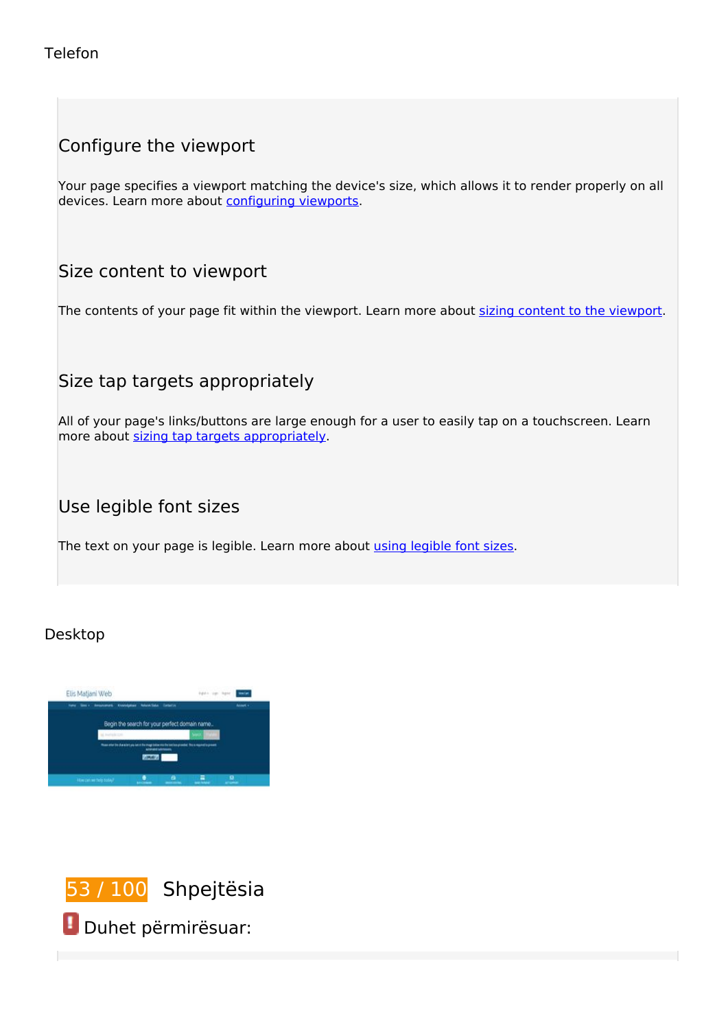# **Configure the viewport**

Your page specifies a viewport matching the device's size, which allows it to render properly on all devices. Learn more about [configuring viewports](http://test.al/redirect.php?url=https%3A%2F%2Fdevelopers.google.com%2Fspeed%2Fdocs%2Finsights%2FConfigureViewport).

## **Size content to viewport**

The contents of your page fit within the viewport. Learn more about [sizing content to the viewport.](http://test.al/redirect.php?url=https%3A%2F%2Fdevelopers.google.com%2Fspeed%2Fdocs%2Finsights%2FSizeContentToViewport)

## **Size tap targets appropriately**

All of your page's links/buttons are large enough for a user to easily tap on a touchscreen. Learn more about [sizing tap targets appropriately.](http://test.al/redirect.php?url=https%3A%2F%2Fdevelopers.google.com%2Fspeed%2Fdocs%2Finsights%2FSizeTapTargetsAppropriately)

#### **Use legible font sizes**

The text on your page is legible. Learn more about [using legible font sizes](http://test.al/redirect.php?url=https%3A%2F%2Fdevelopers.google.com%2Fspeed%2Fdocs%2Finsights%2FUseLegibleFontSizes).

#### **Desktop**





 **Duhet përmirësuar:**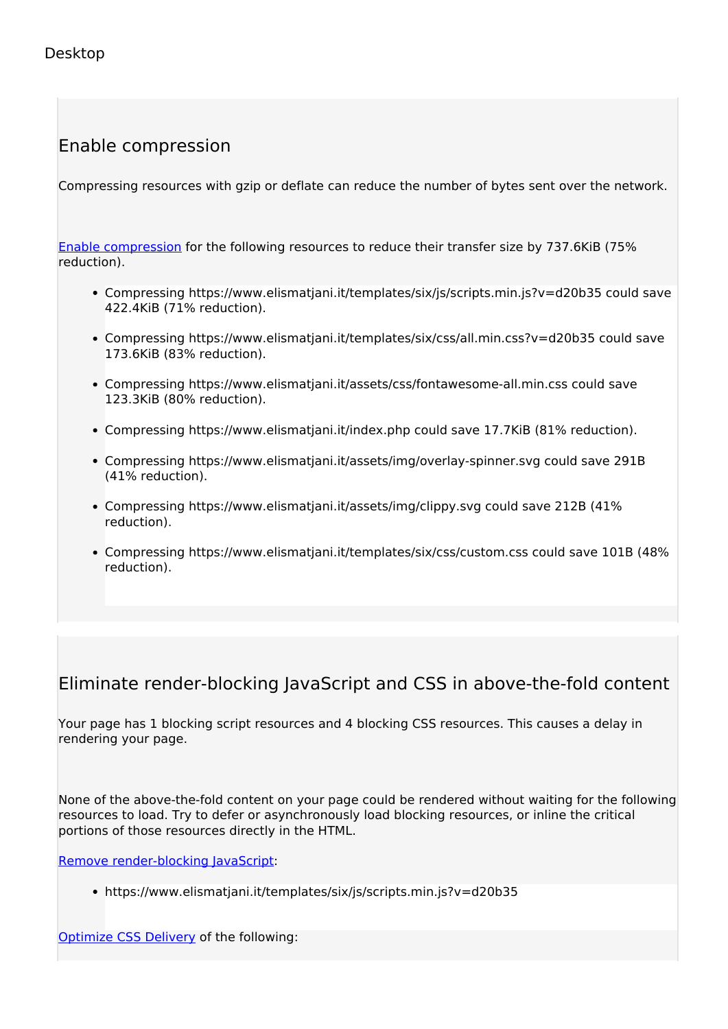# **Enable compression**

Compressing resources with gzip or deflate can reduce the number of bytes sent over the network.

[Enable compression](http://test.al/redirect.php?url=https%3A%2F%2Fdevelopers.google.com%2Fspeed%2Fdocs%2Finsights%2FEnableCompression) for the following resources to reduce their transfer size by 737.6KiB (75% reduction).

- Compressing https://www.elismatjani.it/templates/six/js/scripts.min.js?v=d20b35 could save 422.4KiB (71% reduction).
- Compressing https://www.elismatjani.it/templates/six/css/all.min.css?v=d20b35 could save 173.6KiB (83% reduction).
- Compressing https://www.elismatjani.it/assets/css/fontawesome-all.min.css could save 123.3KiB (80% reduction).
- Compressing https://www.elismatjani.it/index.php could save 17.7KiB (81% reduction).
- Compressing https://www.elismatjani.it/assets/img/overlay-spinner.svg could save 291B (41% reduction).
- Compressing https://www.elismatjani.it/assets/img/clippy.svg could save 212B (41% reduction).
- Compressing https://www.elismatjani.it/templates/six/css/custom.css could save 101B (48% reduction).

#### **Eliminate render-blocking JavaScript and CSS in above-the-fold content**

Your page has 1 blocking script resources and 4 blocking CSS resources. This causes a delay in rendering your page.

None of the above-the-fold content on your page could be rendered without waiting for the following resources to load. Try to defer or asynchronously load blocking resources, or inline the critical portions of those resources directly in the HTML.

[Remove render-blocking JavaScript](http://test.al/redirect.php?url=https%3A%2F%2Fdevelopers.google.com%2Fspeed%2Fdocs%2Finsights%2FBlockingJS):

https://www.elismatjani.it/templates/six/js/scripts.min.js?v=d20b35

[Optimize CSS Delivery](http://test.al/redirect.php?url=https%3A%2F%2Fdevelopers.google.com%2Fspeed%2Fdocs%2Finsights%2FOptimizeCSSDelivery) of the following: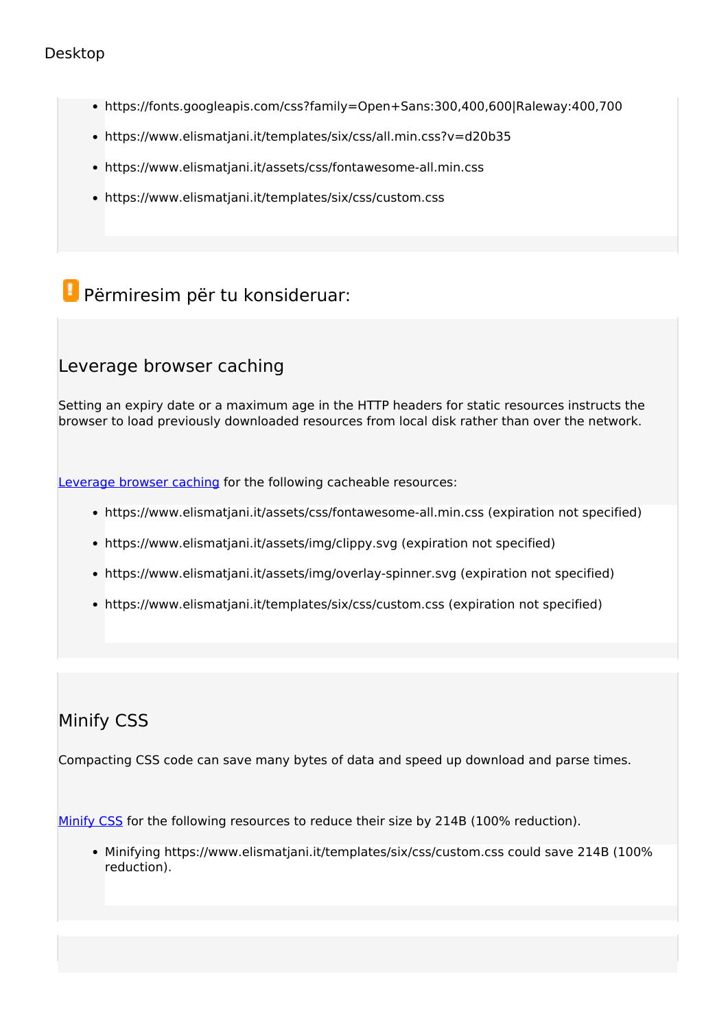#### **Desktop**

- https://fonts.googleapis.com/css?family=Open+Sans:300,400,600|Raleway:400,700
- https://www.elismatjani.it/templates/six/css/all.min.css?v=d20b35
- https://www.elismatjani.it/assets/css/fontawesome-all.min.css
- https://www.elismatjani.it/templates/six/css/custom.css

# **Përmiresim për tu konsideruar:**

#### **Leverage browser caching**

Setting an expiry date or a maximum age in the HTTP headers for static resources instructs the browser to load previously downloaded resources from local disk rather than over the network.

[Leverage browser caching](http://test.al/redirect.php?url=https%3A%2F%2Fdevelopers.google.com%2Fspeed%2Fdocs%2Finsights%2FLeverageBrowserCaching) for the following cacheable resources:

- https://www.elismatjani.it/assets/css/fontawesome-all.min.css (expiration not specified)
- https://www.elismatjani.it/assets/img/clippy.svg (expiration not specified)
- https://www.elismatjani.it/assets/img/overlay-spinner.svg (expiration not specified)
- https://www.elismatjani.it/templates/six/css/custom.css (expiration not specified)

#### **Minify CSS**

Compacting CSS code can save many bytes of data and speed up download and parse times.

[Minify CSS](http://test.al/redirect.php?url=https%3A%2F%2Fdevelopers.google.com%2Fspeed%2Fdocs%2Finsights%2FMinifyResources) for the following resources to reduce their size by 214B (100% reduction).

Minifying https://www.elismatjani.it/templates/six/css/custom.css could save 214B (100% reduction).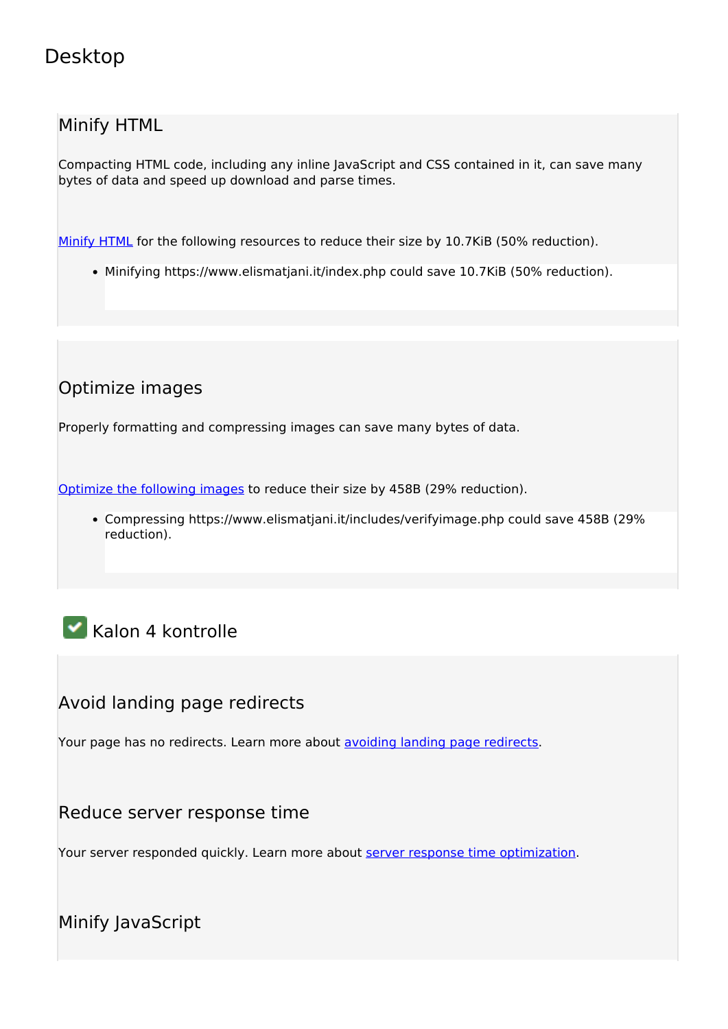# **Desktop**

#### **Minify HTML**

Compacting HTML code, including any inline JavaScript and CSS contained in it, can save many bytes of data and speed up download and parse times.

[Minify HTML](http://test.al/redirect.php?url=https%3A%2F%2Fdevelopers.google.com%2Fspeed%2Fdocs%2Finsights%2FMinifyResources) for the following resources to reduce their size by 10.7KiB (50% reduction).

Minifying https://www.elismatjani.it/index.php could save 10.7KiB (50% reduction).

# **Optimize images**

Properly formatting and compressing images can save many bytes of data.

[Optimize the following images](http://test.al/redirect.php?url=https%3A%2F%2Fdevelopers.google.com%2Fspeed%2Fdocs%2Finsights%2FOptimizeImages) to reduce their size by 458B (29% reduction).

Compressing https://www.elismatjani.it/includes/verifyimage.php could save 458B (29% reduction).

# **Kalon 4 kontrolle**

## **Avoid landing page redirects**

Your page has no redirects. Learn more about [avoiding landing page redirects](http://test.al/redirect.php?url=https%3A%2F%2Fdevelopers.google.com%2Fspeed%2Fdocs%2Finsights%2FAvoidRedirects).

#### **Reduce server response time**

Your server responded quickly. Learn more about [server response time optimization](http://test.al/redirect.php?url=https%3A%2F%2Fdevelopers.google.com%2Fspeed%2Fdocs%2Finsights%2FServer).

**Minify JavaScript**